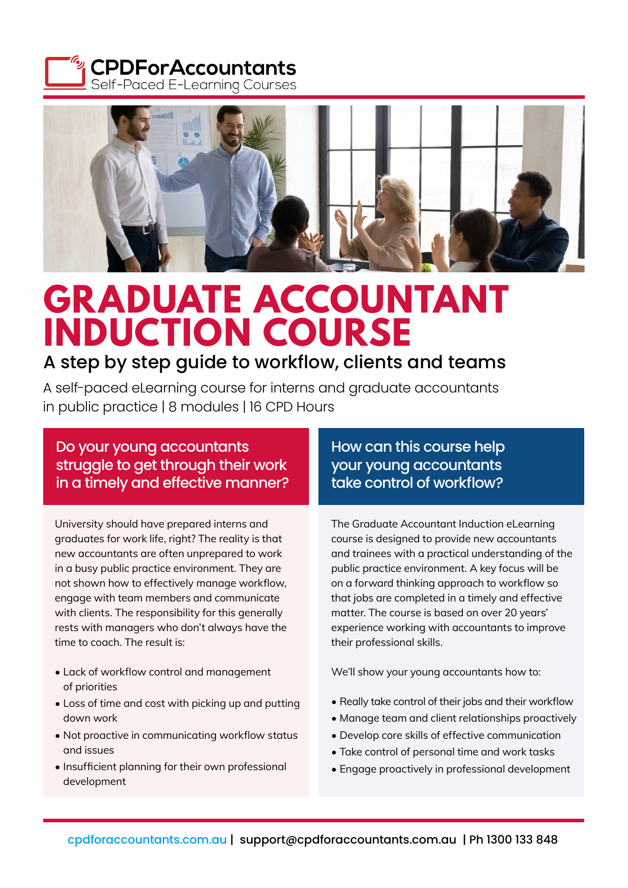



# **GRADUATE ACCOUNTANT INDUCTION COURSE**

### A step by step guide to workflow, clients and teams

A self-paced eLearning course for interns and graduate accountants in public practice | 8 modules | 16 CPD Hours

Do your young accountants struggle to get through their work in a timely and effective manner?

University should have prepared interns and graduates for work life, right? The reality is that new accountants are often unprepared to work in a busy public practice environment. They are not shown how to effectively manage workflow, engage with team members and communicate with clients. The responsibility for this generally rests with managers who don't always have the time to coach. The result is:

- Lack of workflow control and management of priorities
- Loss of time and cost with picking up and putting down work
- Not proactive in communicating workflow status and issues
- Insufficient planning for their own professional development

How can this course help your young accountants take control of workflow?

The Graduate Accountant Induction eLearning course is designed to provide new accountants and trainees with a practical understanding of the public practice environment. A key focus will be on a forward thinking approach to workflow so that jobs are completed in a timely and effective matter. The course is based on over 20 years' experience working with accountants to improve their professional skills.

We'll show your young accountants how to:

- Really take control of their jobs and their workflow
- Manage team and client relationships proactively
- Develop core skills of effective communication
- Take control of personal time and work tasks
- Engage proactively in professional development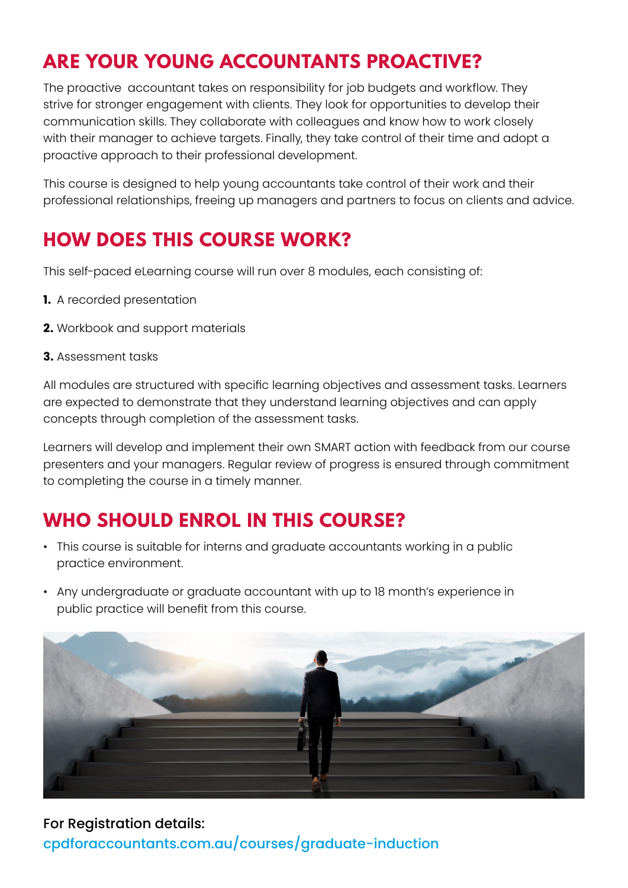# **ARE YOUR YOUNG ACCOUNTANTS PROACTIVE?**

The proactive accountant takes on responsibility for job budgets and workflow. They strive for stronger engagement with clients. They look for opportunities to develop their communication skills. They collaborate with colleagues and know how to work closely with their manager to achieve targets. Finally, they take control of their time and adopt a proactive approach to their professional development.

This course is designed to help young accountants take control of their work and their professional relationships, freeing up managers and partners to focus on clients and advice.

## **HOW DOES THIS COURSE WORK?**

This self-paced eLearning course will run over 8 modules, each consisting of:

- **1.** A recorded presentation
- **2.** Workbook and support materials
- **3.** Assessment tasks

All modules are structured with specific learning objectives and assessment tasks. Learners are expected to demonstrate that they understand learning objectives and can apply concepts through completion of the assessment tasks.

Learners will develop and implement their own SMART action with feedback from our course presenters and your managers. Regular review of progress is ensured through commitment to completing the course in a timely manner.

## **WHO SHOULD ENROL IN THIS COURSE?**

- This course is suitable for interns and graduate accountants working in a public practice environment.
- Any undergraduate or graduate accountant with up to 18 month's experience in public practice will benefit from this course.



For Registration details: [cpdforaccountants.com.au/courses/graduate-induction](https://cpdforaccountants.com.au/courses/graduate-induction)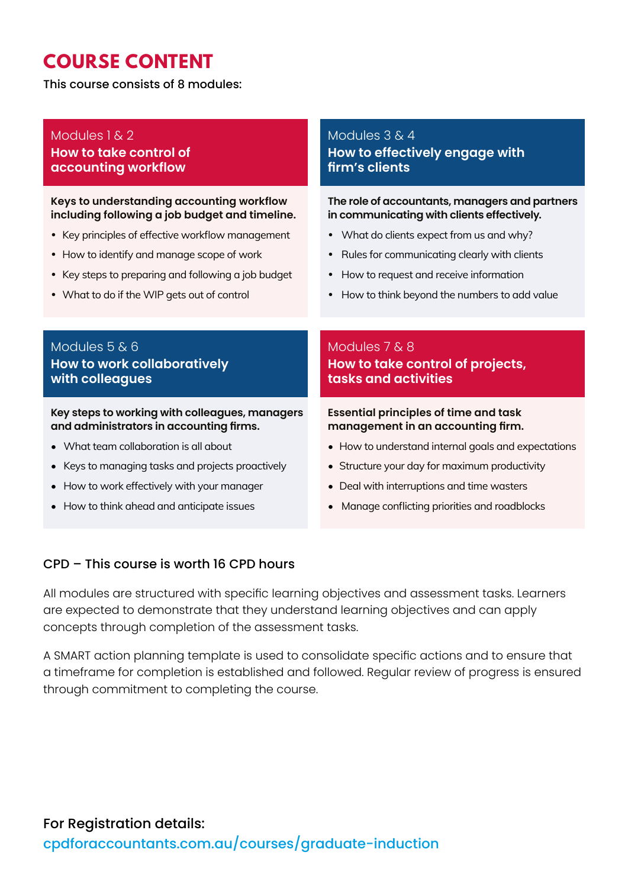# **COURSE CONTENT**

This course consists of 8 modules:

#### Modules 1 & 2 **How to take control of accounting workflow**

#### **Keys to understanding accounting workflow including following a job budget and timeline.**

- Key principles of effective workflow management
- How to identify and manage scope of work
- Key steps to preparing and following a job budget
- What to do if the WIP gets out of control

#### Modules 3 & 4 **How to effectively engage with firm's clients**

**The role of accountants, managers and partners in communicating with clients effectively.**

- What do clients expect from us and why?
- Rules for communicating clearly with clients
- How to request and receive information
- How to think beyond the numbers to add value

#### Modules 5 & 6 **How to work collaboratively with colleagues**

#### **Key steps to working with colleagues, managers and administrators in accounting firms.**

- What team collaboration is all about
- Keys to managing tasks and projects proactively
- How to work effectively with your manager
- How to think ahead and anticipate issues

#### Modules 7 & 8 **How to take control of projects, tasks and activities**

#### **Essential principles of time and task management in an accounting firm.**

- How to understand internal goals and expectations
- Structure your day for maximum productivity
- Deal with interruptions and time wasters
- Manage conflicting priorities and roadblocks

#### CPD – This course is worth 16 CPD hours

All modules are structured with specific learning objectives and assessment tasks. Learners are expected to demonstrate that they understand learning objectives and can apply concepts through completion of the assessment tasks.

A SMART action planning template is used to consolidate specific actions and to ensure that a timeframe for completion is established and followed. Regular review of progress is ensured through commitment to completing the course.